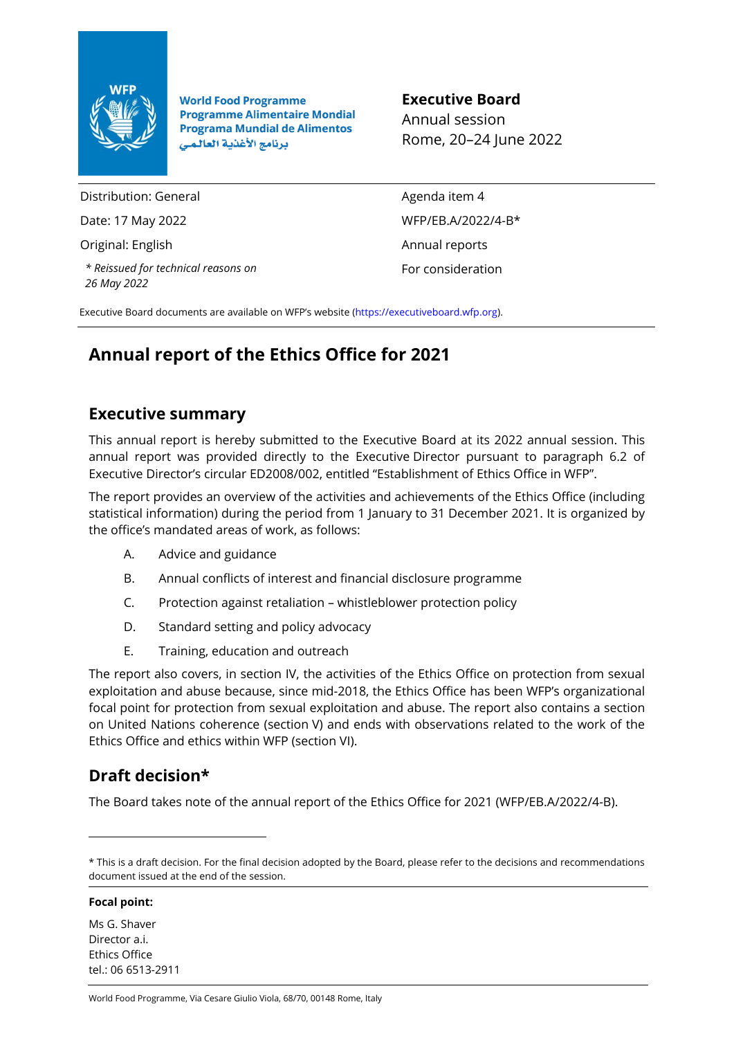

**World Food Programme Programme Alimentaire Mondial Programa Mundial de Alimentos** برنامج الأغذية العالمي

**Executive Board**

Annual session Rome, 20–24 June 2022

Distribution: General

Date: 17 May 2022

Original: English

*\* Reissued for technical reasons on 26 May 2022*

Agenda item 4 WFP/EB.A/2022/4-B\* Annual reports For consideration

Executive Board documents are available on WFP's website [\(https://executiveboard.wfp.org\)](https://executiveboard.wfp.org/).

# **Annual report of the Ethics Office for 2021**

# **Executive summary**

This annual report is hereby submitted to the Executive Board at its 2022 annual session. This annual report was provided directly to the Executive Director pursuant to paragraph 6.2 of Executive Director's circular ED2008/002, entitled "Establishment of Ethics Office in WFP".

The report provides an overview of the activities and achievements of the Ethics Office (including statistical information) during the period from 1 January to 31 December 2021. It is organized by the office's mandated areas of work, as follows:

- A. Advice and guidance
- B. Annual conflicts of interest and financial disclosure programme
- C. Protection against retaliation whistleblower protection policy
- D. Standard setting and policy advocacy
- E. Training, education and outreach

The report also covers, in section IV, the activities of the Ethics Office on protection from sexual exploitation and abuse because, since mid-2018, the Ethics Office has been WFP's organizational focal point for protection from sexual exploitation and abuse. The report also contains a section on United Nations coherence (section V) and ends with observations related to the work of the Ethics Office and ethics within WFP (section VI).

# **Draft decision\***

The Board takes note of the annual report of the Ethics Office for 2021 (WFP/EB.A/2022/4-B).

#### **Focal point:**

Ms G. Shaver Director a i Ethics Office tel.: 06 6513-2911

World Food Programme, Via Cesare Giulio Viola, 68/70, 00148 Rome, Italy

<sup>\*</sup> This is a draft decision. For the final decision adopted by the Board, please refer to the decisions and recommendations document issued at the end of the session.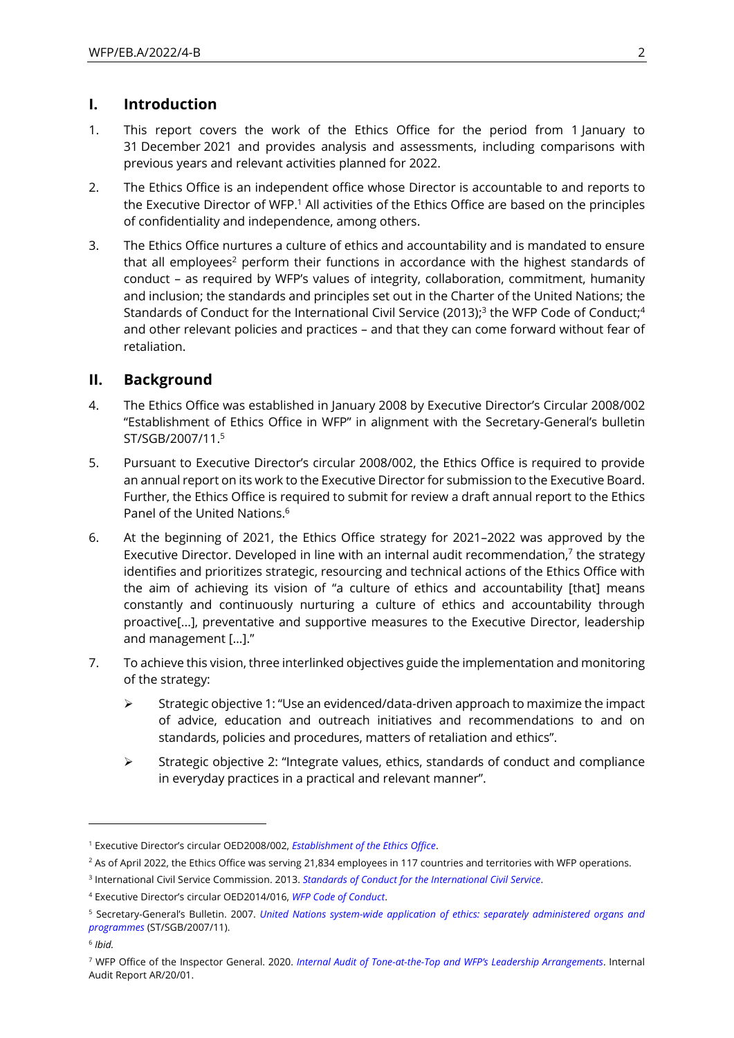## **I. Introduction**

- 1. This report covers the work of the Ethics Office for the period from 1 January to 31 December 2021 and provides analysis and assessments, including comparisons with previous years and relevant activities planned for 2022.
- 2. The Ethics Office is an independent office whose Director is accountable to and reports to the Executive Director of WFP.<sup>1</sup> All activities of the Ethics Office are based on the principles of confidentiality and independence, among others.
- 3. The Ethics Office nurtures a culture of ethics and accountability and is mandated to ensure that all employees<sup>2</sup> perform their functions in accordance with the highest standards of conduct – as required by WFP's values of integrity, collaboration, commitment, humanity and inclusion; the standards and principles set out in the Charter of the United Nations; the Standards of Conduct for the International Civil Service (2013);<sup>3</sup> the WFP Code of Conduct;<sup>4</sup> and other relevant policies and practices – and that they can come forward without fear of retaliation.

## **II. Background**

- 4. The Ethics Office was established in January 2008 by Executive Director's Circular 2008/002 "Establishment of Ethics Office in WFP" in alignment with the Secretary-General's bulletin ST/SGB/2007/11. 5
- 5. Pursuant to Executive Director's circular 2008/002, the Ethics Office is required to provide an annual report on its work to the Executive Director for submission to the Executive Board. Further, the Ethics Office is required to submit for review a draft annual report to the Ethics Panel of the United Nations. 6
- 6. At the beginning of 2021, the Ethics Office strategy for 2021–2022 was approved by the Executive Director. Developed in line with an internal audit recommendation,<sup>7</sup> the strategy identifies and prioritizes strategic, resourcing and technical actions of the Ethics Office with the aim of achieving its vision of "a culture of ethics and accountability [that] means constantly and continuously nurturing a culture of ethics and accountability through proactive[...], preventative and supportive measures to the Executive Director, leadership and management […]."
- 7. To achieve this vision, three interlinked objectives guide the implementation and monitoring of the strategy:
	- ➢ Strategic objective 1: "Use an evidenced/data-driven approach to maximize the impact of advice, education and outreach initiatives and recommendations to and on standards, policies and procedures, matters of retaliation and ethics".
	- $\triangleright$  Strategic objective 2: "Integrate values, ethics, standards of conduct and compliance in everyday practices in a practical and relevant manner".

<sup>1</sup> Executive Director's circular OED2008/002, *[Establishment of the Ethics Office](https://docs.wfp.org/api/documents/WFP-0000011007/download/)*.

 $2$  As of April 2022, the Ethics Office was serving 21,834 employees in 117 countries and territories with WFP operations.

<sup>3</sup> International Civil Service Commission. 2013. *Standards of Conduct for the [International](https://icsc.un.org/Resources/General/Publications/standardsE.pdf) Civil Service*.

<sup>4</sup> Executive Director's circular OED2014/016, *[WFP Code of Conduct](https://docs.wfp.org/api/documents/WFP-0000011640/download/)*.

<sup>5</sup> Secretary-General's Bulletin. 2007. *[United Nations system-wide application of ethics: separately administered organs and](https://documents-dds-ny.un.org/doc/UNDOC/GEN/N07/621/09/PDF/N0762109.pdf?OpenElement)  [programmes](https://documents-dds-ny.un.org/doc/UNDOC/GEN/N07/621/09/PDF/N0762109.pdf?OpenElement)* (ST/SGB/2007/11).

<sup>6</sup> *Ibid.*

<sup>7</sup> WFP Office of the Inspector General. 2020. *Internal Audit of Tone-at-the-[Top and WFP's Leadership Arrangements](https://docs.wfp.org/api/documents/WFP-0000112577/download/)*. Internal Audit Report AR/20/01.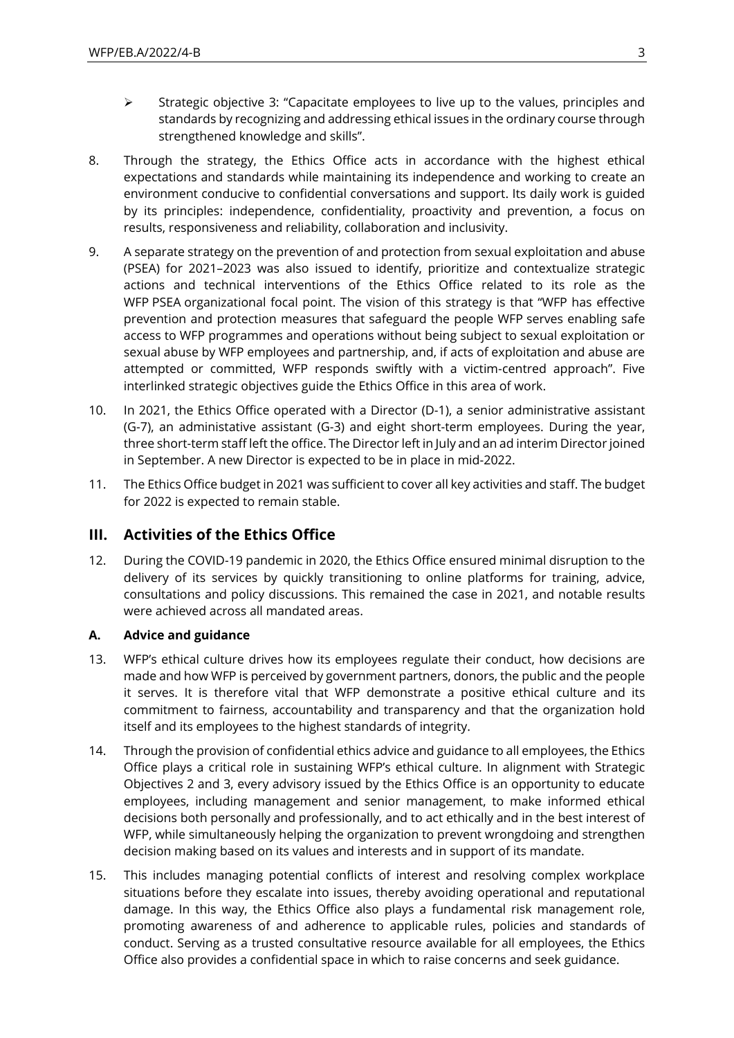- ➢ Strategic objective 3: "Capacitate employees to live up to the values, principles and standards by recognizing and addressing ethical issues in the ordinary course through strengthened knowledge and skills".
- 8. Through the strategy, the Ethics Office acts in accordance with the highest ethical expectations and standards while maintaining its independence and working to create an environment conducive to confidential conversations and support. Its daily work is guided by its principles: independence, confidentiality, proactivity and prevention, a focus on results, responsiveness and reliability, collaboration and inclusivity.
- 9. A separate strategy on the prevention of and protection from sexual exploitation and abuse (PSEA) for 2021–2023 was also issued to identify, prioritize and contextualize strategic actions and technical interventions of the Ethics Office related to its role as the WFP PSEA organizational focal point. The vision of this strategy is that "WFP has effective prevention and protection measures that safeguard the people WFP serves enabling safe access to WFP programmes and operations without being subject to sexual exploitation or sexual abuse by WFP employees and partnership, and, if acts of exploitation and abuse are attempted or committed, WFP responds swiftly with a victim-centred approach". Five interlinked strategic objectives guide the Ethics Office in this area of work.
- 10. In 2021, the Ethics Office operated with a Director (D-1), a senior administrative assistant (G-7), an administative assistant (G-3) and eight short-term employees. During the year, three short-term staff left the office. The Director left in July and an ad interim Director joined in September. A new Director is expected to be in place in mid-2022.
- 11. The Ethics Office budget in 2021 was sufficient to cover all key activities and staff. The budget for 2022 is expected to remain stable.

## **III. Activities of the Ethics Office**

12. During the COVID-19 pandemic in 2020, the Ethics Office ensured minimal disruption to the delivery of its services by quickly transitioning to online platforms for training, advice, consultations and policy discussions. This remained the case in 2021, and notable results were achieved across all mandated areas.

### **A. Advice and guidance**

- 13. WFP's ethical culture drives how its employees regulate their conduct, how decisions are made and how WFP is perceived by government partners, donors, the public and the people it serves. It is therefore vital that WFP demonstrate a positive ethical culture and its commitment to fairness, accountability and transparency and that the organization hold itself and its employees to the highest standards of integrity.
- 14. Through the provision of confidential ethics advice and guidance to all employees, the Ethics Office plays a critical role in sustaining WFP's ethical culture. In alignment with Strategic Objectives 2 and 3, every advisory issued by the Ethics Office is an opportunity to educate employees, including management and senior management, to make informed ethical decisions both personally and professionally, and to act ethically and in the best interest of WFP, while simultaneously helping the organization to prevent wrongdoing and strengthen decision making based on its values and interests and in support of its mandate.
- 15. This includes managing potential conflicts of interest and resolving complex workplace situations before they escalate into issues, thereby avoiding operational and reputational damage. In this way, the Ethics Office also plays a fundamental risk management role, promoting awareness of and adherence to applicable rules, policies and standards of conduct. Serving as a trusted consultative resource available for all employees, the Ethics Office also provides a confidential space in which to raise concerns and seek guidance.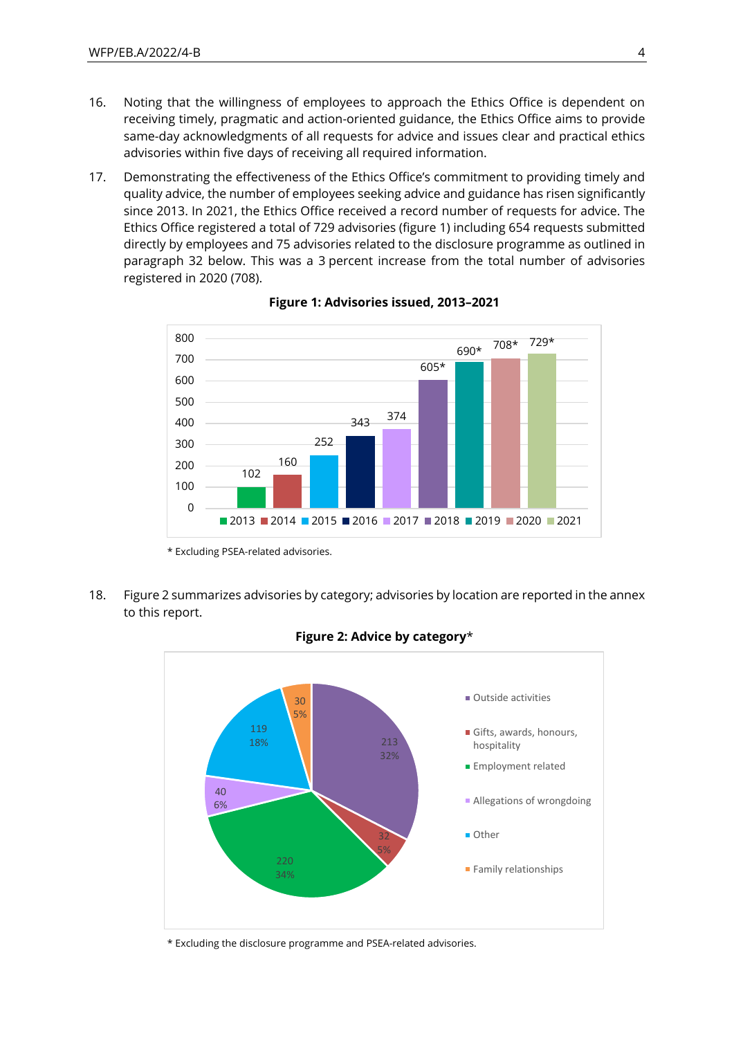- 16. Noting that the willingness of employees to approach the Ethics Office is dependent on receiving timely, pragmatic and action-oriented guidance, the Ethics Office aims to provide same-day acknowledgments of all requests for advice and issues clear and practical ethics advisories within five days of receiving all required information.
- 17. Demonstrating the effectiveness of the Ethics Office's commitment to providing timely and quality advice, the number of employees seeking advice and guidance has risen significantly since 2013. In 2021, the Ethics Office received a record number of requests for advice. The Ethics Office registered a total of 729 advisories (figure 1) including 654 requests submitted directly by employees and 75 advisories related to the disclosure programme as outlined in paragraph 32 below. This was a 3 percent increase from the total number of advisories registered in 2020 (708).



**Figure 1: Advisories issued, 2013–2021**

\* Excluding PSEA-related advisories.

18. Figure 2 summarizes advisories by category; advisories by location are reported in the annex to this report.





\* Excluding the disclosure programme and PSEA-related advisories.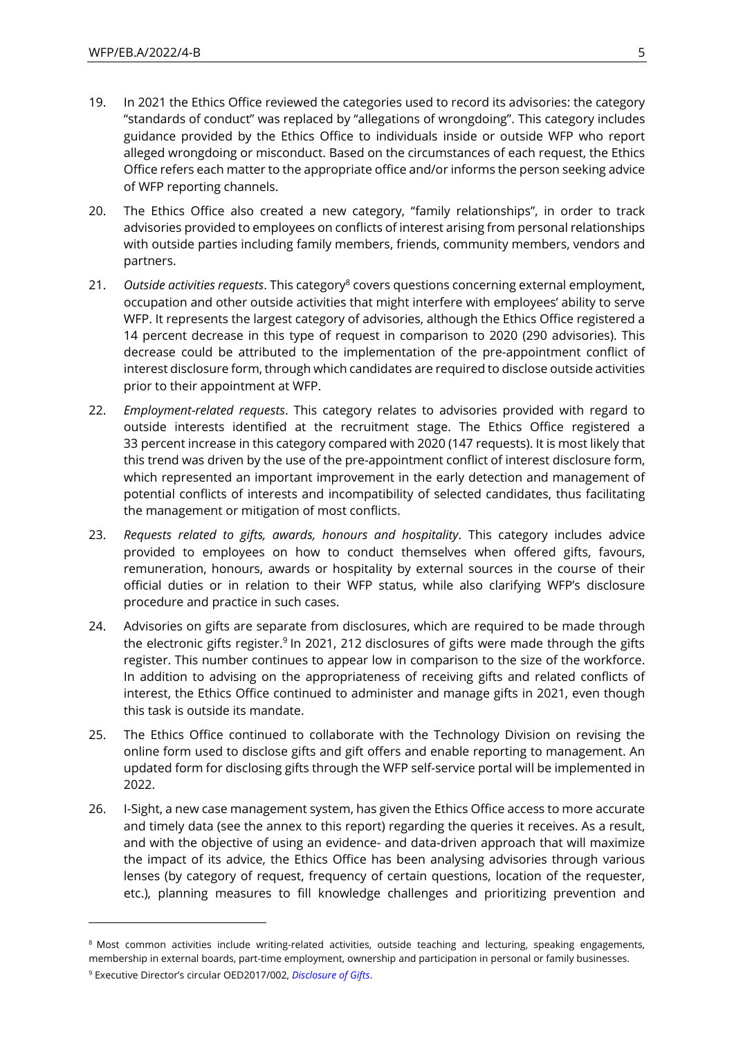- 19. In 2021 the Ethics Office reviewed the categories used to record its advisories: the category "standards of conduct" was replaced by "allegations of wrongdoing". This category includes guidance provided by the Ethics Office to individuals inside or outside WFP who report alleged wrongdoing or misconduct. Based on the circumstances of each request, the Ethics Office refers each matter to the appropriate office and/or informs the person seeking advice of WFP reporting channels.
- 20. The Ethics Office also created a new category, "family relationships", in order to track advisories provided to employees on conflicts of interest arising from personal relationships with outside parties including family members, friends, community members, vendors and partners.
- 21. *Outside activities requests*. This category<sup>8</sup> covers questions concerning external employment, occupation and other outside activities that might interfere with employees' ability to serve WFP. It represents the largest category of advisories, although the Ethics Office registered a 14 percent decrease in this type of request in comparison to 2020 (290 advisories). This decrease could be attributed to the implementation of the pre-appointment conflict of interest disclosure form, through which candidates are required to disclose outside activities prior to their appointment at WFP.
- 22. *Employment-related requests*. This category relates to advisories provided with regard to outside interests identified at the recruitment stage. The Ethics Office registered a 33 percent increase in this category compared with 2020 (147 requests). It is most likely that this trend was driven by the use of the pre-appointment conflict of interest disclosure form, which represented an important improvement in the early detection and management of potential conflicts of interests and incompatibility of selected candidates, thus facilitating the management or mitigation of most conflicts.
- 23. *Requests related to gifts, awards, honours and hospitality*. This category includes advice provided to employees on how to conduct themselves when offered gifts, favours, remuneration, honours, awards or hospitality by external sources in the course of their official duties or in relation to their WFP status, while also clarifying WFP's disclosure procedure and practice in such cases.
- 24. Advisories on gifts are separate from disclosures, which are required to be made through the electronic gifts register.<sup>9</sup> In 2021, 212 disclosures of gifts were made through the gifts register. This number continues to appear low in comparison to the size of the workforce. In addition to advising on the appropriateness of receiving gifts and related conflicts of interest, the Ethics Office continued to administer and manage gifts in 2021, even though this task is outside its mandate.
- 25. The Ethics Office continued to collaborate with the Technology Division on revising the online form used to disclose gifts and gift offers and enable reporting to management. An updated form for disclosing gifts through the WFP self-service portal will be implemented in 2022.
- 26. I-Sight, a new case management system, has given the Ethics Office access to more accurate and timely data (see the annex to this report) regarding the queries it receives. As a result, and with the objective of using an evidence- and data-driven approach that will maximize the impact of its advice, the Ethics Office has been analysing advisories through various lenses (by category of request, frequency of certain questions, location of the requester, etc.), planning measures to fill knowledge challenges and prioritizing prevention and

<sup>&</sup>lt;sup>8</sup> Most common activities include writing-related activities, outside teaching and lecturing, speaking engagements, membership in external boards, part-time employment, ownership and participation in personal or family businesses.

<sup>9</sup> Executive Director's circular OED2017/002, *[Disclosure of Gifts](https://docs.wfp.org/api/documents/WFP-0000012896/download/)*.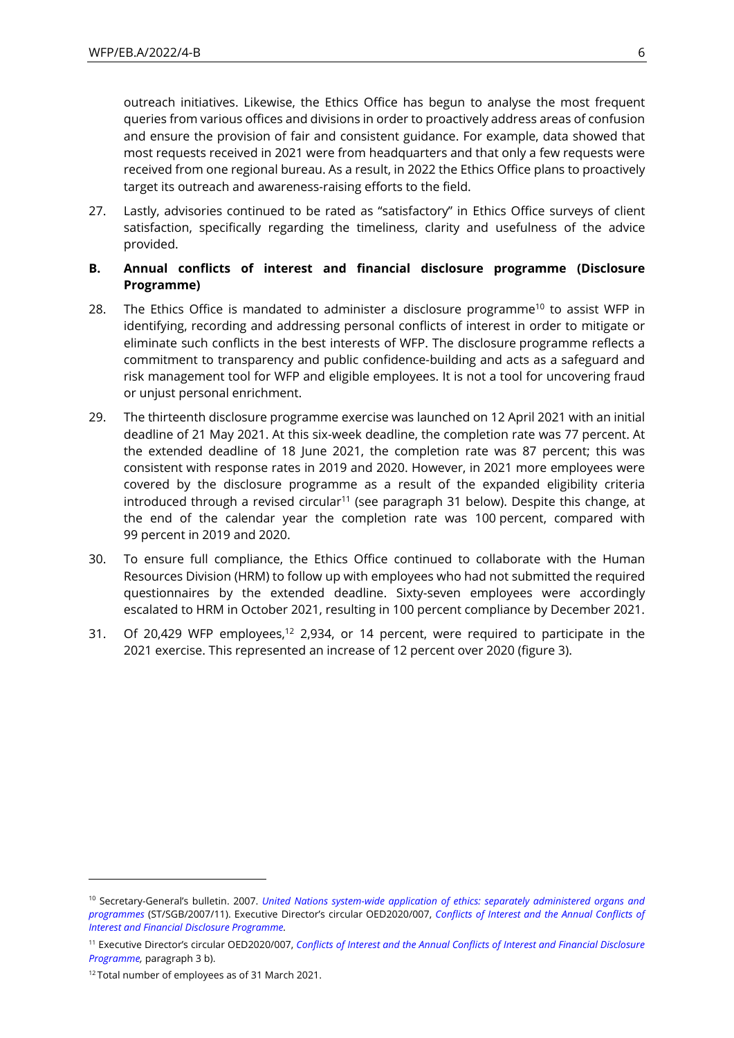outreach initiatives. Likewise, the Ethics Office has begun to analyse the most frequent queries from various offices and divisions in order to proactively address areas of confusion and ensure the provision of fair and consistent guidance. For example, data showed that most requests received in 2021 were from headquarters and that only a few requests were received from one regional bureau. As a result, in 2022 the Ethics Office plans to proactively target its outreach and awareness-raising efforts to the field.

27. Lastly, advisories continued to be rated as "satisfactory" in Ethics Office surveys of client satisfaction, specifically regarding the timeliness, clarity and usefulness of the advice provided.

### **B. Annual conflicts of interest and financial disclosure programme (Disclosure Programme)**

- 28. The Ethics Office is mandated to administer a disclosure programme<sup>10</sup> to assist WFP in identifying, recording and addressing personal conflicts of interest in order to mitigate or eliminate such conflicts in the best interests of WFP. The disclosure programme reflects a commitment to transparency and public confidence-building and acts as a safeguard and risk management tool for WFP and eligible employees. It is not a tool for uncovering fraud or unjust personal enrichment.
- 29. The thirteenth disclosure programme exercise was launched on 12 April 2021 with an initial deadline of 21 May 2021. At this six-week deadline, the completion rate was 77 percent. At the extended deadline of 18 June 2021, the completion rate was 87 percent; this was consistent with response rates in 2019 and 2020. However, in 2021 more employees were covered by the disclosure programme as a result of the expanded eligibility criteria introduced through a revised circular<sup>11</sup> (see paragraph 31 below). Despite this change, at the end of the calendar year the completion rate was 100 percent, compared with 99 percent in 2019 and 2020.
- 30. To ensure full compliance, the Ethics Office continued to collaborate with the Human Resources Division (HRM) to follow up with employees who had not submitted the required questionnaires by the extended deadline. Sixty-seven employees were accordingly escalated to HRM in October 2021, resulting in 100 percent compliance by December 2021.
- 31. Of 20,429 WFP employees,<sup>12</sup> 2,934, or 14 percent, were required to participate in the 2021 exercise. This represented an increase of 12 percent over 2020 (figure 3).

<sup>10</sup> Secretary-General's bulletin. 2007. *[United Nations system-wide application of ethics: separately administered organs and](https://documents-dds-ny.un.org/doc/UNDOC/GEN/N07/621/09/PDF/N0762109.pdf?OpenElement)  [programmes](https://documents-dds-ny.un.org/doc/UNDOC/GEN/N07/621/09/PDF/N0762109.pdf?OpenElement)* (ST/SGB/2007/11). Executive Director's circular OED2020/007, *[Conflicts of Interest and the Annual Conflicts of](file:///C:/Users/adrienne.nava/Desktop/EB.A-2022-PROOF%20CHANGES%20DOCUMENTS/Conflicts%20of%20Interest%20and%20the%20Annual%20Conflicts%20of%20Interest%20and%20Financial%20Disclosure%20Programme)  [Interest and Financial Disclosure Programme.](file:///C:/Users/adrienne.nava/Desktop/EB.A-2022-PROOF%20CHANGES%20DOCUMENTS/Conflicts%20of%20Interest%20and%20the%20Annual%20Conflicts%20of%20Interest%20and%20Financial%20Disclosure%20Programme)*

<sup>11</sup> Executive Director's circular OED2020/007, *[Conflicts of Interest and the Annual Conflicts of Interest and Financial Disclosure](file:///C:/Users/adrienne.nava/Desktop/EB.A-2022-PROOF%20CHANGES%20DOCUMENTS/Conflicts%20of%20Interest%20and%20the%20Annual%20Conflicts%20of%20Interest%20and%20Financial%20Disclosure%20Programme)  [Programme,](file:///C:/Users/adrienne.nava/Desktop/EB.A-2022-PROOF%20CHANGES%20DOCUMENTS/Conflicts%20of%20Interest%20and%20the%20Annual%20Conflicts%20of%20Interest%20and%20Financial%20Disclosure%20Programme)* paragraph 3 b).

<sup>&</sup>lt;sup>12</sup> Total number of employees as of 31 March 2021.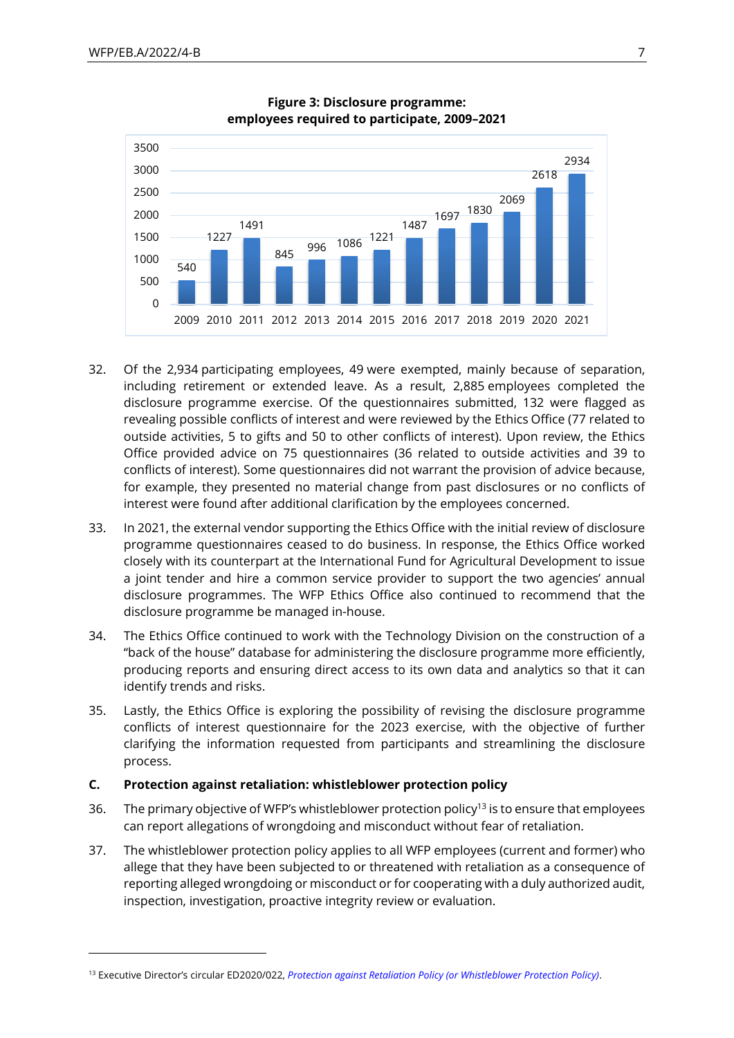



- 32. Of the 2,934 participating employees, 49 were exempted, mainly because of separation, including retirement or extended leave. As a result, 2,885 employees completed the disclosure programme exercise. Of the questionnaires submitted, 132 were flagged as revealing possible conflicts of interest and were reviewed by the Ethics Office (77 related to outside activities, 5 to gifts and 50 to other conflicts of interest). Upon review, the Ethics Office provided advice on 75 questionnaires (36 related to outside activities and 39 to conflicts of interest). Some questionnaires did not warrant the provision of advice because, for example, they presented no material change from past disclosures or no conflicts of interest were found after additional clarification by the employees concerned.
- 33. In 2021, the external vendor supporting the Ethics Office with the initial review of disclosure programme questionnaires ceased to do business. In response, the Ethics Office worked closely with its counterpart at the International Fund for Agricultural Development to issue a joint tender and hire a common service provider to support the two agencies' annual disclosure programmes. The WFP Ethics Office also continued to recommend that the disclosure programme be managed in-house.
- 34. The Ethics Office continued to work with the Technology Division on the construction of a "back of the house" database for administering the disclosure programme more efficiently, producing reports and ensuring direct access to its own data and analytics so that it can identify trends and risks.
- 35. Lastly, the Ethics Office is exploring the possibility of revising the disclosure programme conflicts of interest questionnaire for the 2023 exercise, with the objective of further clarifying the information requested from participants and streamlining the disclosure process.

#### **C. Protection against retaliation: whistleblower protection policy**

- 36. The primary objective of WFP's whistleblower protection policy<sup>13</sup> is to ensure that employees can report allegations of wrongdoing and misconduct without fear of retaliation.
- 37. The whistleblower protection policy applies to all WFP employees (current and former) who allege that they have been subjected to or threatened with retaliation as a consequence of reporting alleged wrongdoing or misconduct or for cooperating with a duly authorized audit, inspection, investigation, proactive integrity review or evaluation.

<sup>13</sup> Executive Director's circular ED2020/022, *[Protection against Retaliation Policy \(or Whistleblower Protection Policy\)](https://docs.wfp.org/api/documents/WFP-0000122589/download/)*.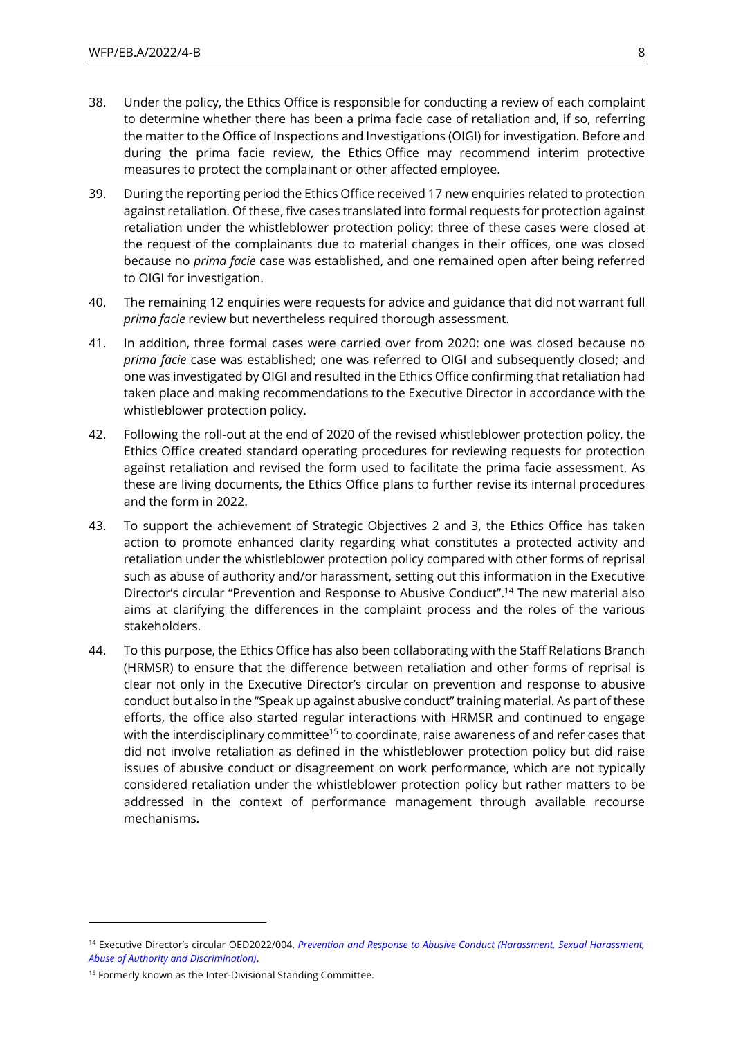- 38. Under the policy, the Ethics Office is responsible for conducting a review of each complaint to determine whether there has been a prima facie case of retaliation and, if so, referring the matter to the Office of Inspections and Investigations (OIGI) for investigation. Before and during the prima facie review, the Ethics Office may recommend interim protective measures to protect the complainant or other affected employee.
- 39. During the reporting period the Ethics Office received 17 new enquiries related to protection against retaliation. Of these, five cases translated into formal requests for protection against retaliation under the whistleblower protection policy: three of these cases were closed at the request of the complainants due to material changes in their offices, one was closed because no *prima facie* case was established, and one remained open after being referred to OIGI for investigation.
- 40. The remaining 12 enquiries were requests for advice and guidance that did not warrant full *prima facie* review but nevertheless required thorough assessment.
- 41. In addition, three formal cases were carried over from 2020: one was closed because no *prima facie* case was established; one was referred to OIGI and subsequently closed; and one was investigated by OIGI and resulted in the Ethics Office confirming that retaliation had taken place and making recommendations to the Executive Director in accordance with the whistleblower protection policy.
- 42. Following the roll-out at the end of 2020 of the revised whistleblower protection policy, the Ethics Office created standard operating procedures for reviewing requests for protection against retaliation and revised the form used to facilitate the prima facie assessment. As these are living documents, the Ethics Office plans to further revise its internal procedures and the form in 2022.
- 43. To support the achievement of Strategic Objectives 2 and 3, the Ethics Office has taken action to promote enhanced clarity regarding what constitutes a protected activity and retaliation under the whistleblower protection policy compared with other forms of reprisal such as abuse of authority and/or harassment, setting out this information in the Executive Director's circular "Prevention and Response to Abusive Conduct". <sup>14</sup> The new material also aims at clarifying the differences in the complaint process and the roles of the various stakeholders.
- 44. To this purpose, the Ethics Office has also been collaborating with the Staff Relations Branch (HRMSR) to ensure that the difference between retaliation and other forms of reprisal is clear not only in the Executive Director's circular on prevention and response to abusive conduct but also in the "Speak up against abusive conduct" training material. As part of these efforts, the office also started regular interactions with HRMSR and continued to engage with the interdisciplinary committee<sup>15</sup> to coordinate, raise awareness of and refer cases that did not involve retaliation as defined in the whistleblower protection policy but did raise issues of abusive conduct or disagreement on work performance, which are not typically considered retaliation under the whistleblower protection policy but rather matters to be addressed in the context of performance management through available recourse mechanisms.

<sup>14</sup> Executive Director's circular OED2022/004, *[Prevention and Response to Abusive Conduct \(Harassment, Sexual Harassment,](https://docs.wfp.org/api/documents/WFP-0000136571/download/)  [Abuse of Authority and Discrimination\)](https://docs.wfp.org/api/documents/WFP-0000136571/download/)*.

<sup>&</sup>lt;sup>15</sup> Formerly known as the Inter-Divisional Standing Committee.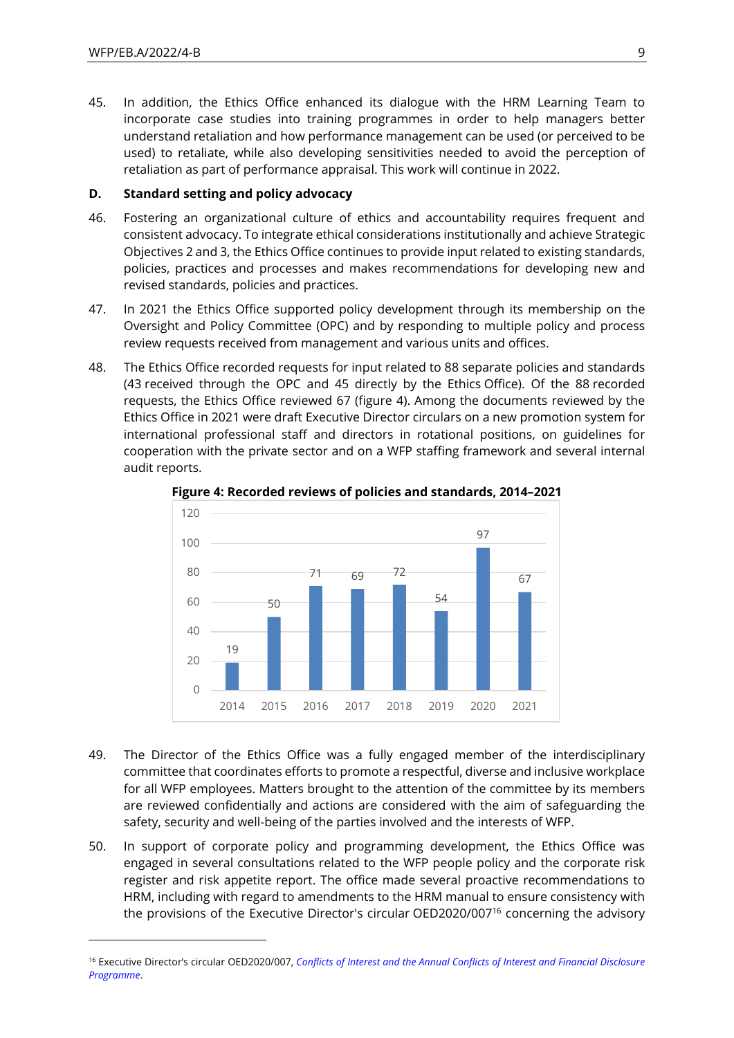45. In addition, the Ethics Office enhanced its dialogue with the HRM Learning Team to incorporate case studies into training programmes in order to help managers better understand retaliation and how performance management can be used (or perceived to be used) to retaliate, while also developing sensitivities needed to avoid the perception of retaliation as part of performance appraisal. This work will continue in 2022.

#### **D. Standard setting and policy advocacy**

- 46. Fostering an organizational culture of ethics and accountability requires frequent and consistent advocacy. To integrate ethical considerations institutionally and achieve Strategic Objectives 2 and 3, the Ethics Office continues to provide input related to existing standards, policies, practices and processes and makes recommendations for developing new and revised standards, policies and practices.
- 47. In 2021 the Ethics Office supported policy development through its membership on the Oversight and Policy Committee (OPC) and by responding to multiple policy and process review requests received from management and various units and offices.
- 48. The Ethics Office recorded requests for input related to 88 separate policies and standards (43 received through the OPC and 45 directly by the Ethics Office). Of the 88 recorded requests, the Ethics Office reviewed 67 (figure 4). Among the documents reviewed by the Ethics Office in 2021 were draft Executive Director circulars on a new promotion system for international professional staff and directors in rotational positions, on guidelines for cooperation with the private sector and on a WFP staffing framework and several internal audit reports.



**Figure 4: Recorded reviews of policies and standards, 2014–2021**

- 49. The Director of the Ethics Office was a fully engaged member of the interdisciplinary committee that coordinates efforts to promote a respectful, diverse and inclusive workplace for all WFP employees. Matters brought to the attention of the committee by its members are reviewed confidentially and actions are considered with the aim of safeguarding the safety, security and well-being of the parties involved and the interests of WFP.
- 50. In support of corporate policy and programming development, the Ethics Office was engaged in several consultations related to the WFP people policy and the corporate risk register and risk appetite report. The office made several proactive recommendations to HRM, including with regard to amendments to the HRM manual to ensure consistency with the provisions of the Executive Director's circular OED2020/007<sup>16</sup> concerning the advisory

<sup>16</sup> Executive Director's circular OED2020/007, *[Conflicts of Interest and the Annual Conflicts of Interest and Financial Disclosure](https://docs.wfp.org/api/documents/WFP-0000113860/download/)  [Programme](https://docs.wfp.org/api/documents/WFP-0000113860/download/)*.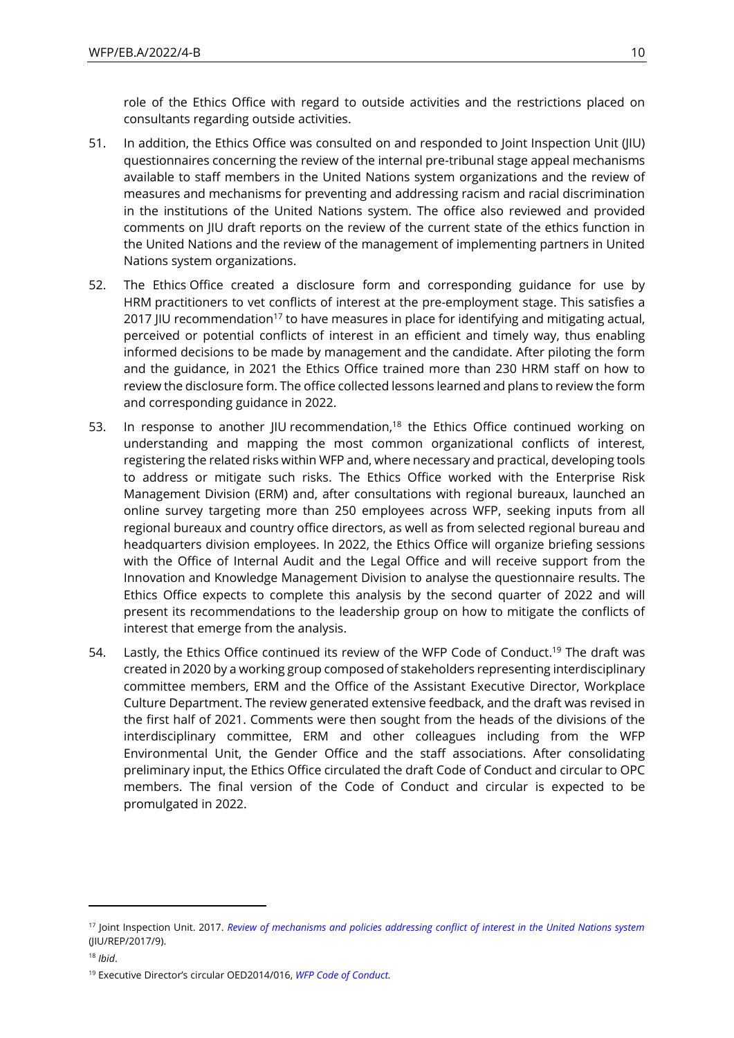role of the Ethics Office with regard to outside activities and the restrictions placed on consultants regarding outside activities.

- 51. In addition, the Ethics Office was consulted on and responded to Joint Inspection Unit (JIU) questionnaires concerning the review of the internal pre-tribunal stage appeal mechanisms available to staff members in the United Nations system organizations and the review of measures and mechanisms for preventing and addressing racism and racial discrimination in the institutions of the United Nations system. The office also reviewed and provided comments on JIU draft reports on the review of the current state of the ethics function in the United Nations and the review of the management of implementing partners in United Nations system organizations.
- 52. The Ethics Office created a disclosure form and corresponding guidance for use by HRM practitioners to vet conflicts of interest at the pre-employment stage. This satisfies a 2017 JIU recommendation<sup>17</sup> to have measures in place for identifying and mitigating actual, perceived or potential conflicts of interest in an efficient and timely way, thus enabling informed decisions to be made by management and the candidate. After piloting the form and the guidance, in 2021 the Ethics Office trained more than 230 HRM staff on how to review the disclosure form. The office collected lessons learned and plans to review the form and corresponding guidance in 2022.
- 53. In response to another IIU recommendation,<sup>18</sup> the Ethics Office continued working on understanding and mapping the most common organizational conflicts of interest, registering the related risks within WFP and, where necessary and practical, developing tools to address or mitigate such risks. The Ethics Office worked with the Enterprise Risk Management Division (ERM) and, after consultations with regional bureaux, launched an online survey targeting more than 250 employees across WFP, seeking inputs from all regional bureaux and country office directors, as well as from selected regional bureau and headquarters division employees. In 2022, the Ethics Office will organize briefing sessions with the Office of Internal Audit and the Legal Office and will receive support from the Innovation and Knowledge Management Division to analyse the questionnaire results. The Ethics Office expects to complete this analysis by the second quarter of 2022 and will present its recommendations to the leadership group on how to mitigate the conflicts of interest that emerge from the analysis.
- 54. Lastly, the Ethics Office continued its review of the WFP Code of Conduct.<sup>19</sup> The draft was created in 2020 by a working group composed of stakeholders representing interdisciplinary committee members, ERM and the Office of the Assistant Executive Director, Workplace Culture Department. The review generated extensive feedback, and the draft was revised in the first half of 2021. Comments were then sought from the heads of the divisions of the interdisciplinary committee, ERM and other colleagues including from the WFP Environmental Unit, the Gender Office and the staff associations. After consolidating preliminary input, the Ethics Office circulated the draft Code of Conduct and circular to OPC members. The final version of the Code of Conduct and circular is expected to be promulgated in 2022.

<sup>17</sup> Joint Inspection Unit. 2017. *[Review of mechanisms and policies addressing conflict of interest in the United Nations system](https://documents-dds-ny.un.org/doc/UNDOC/GEN/G18/048/80/PDF/G1804880.pdf?OpenElement)* (JIU/REP/2017/9).

<sup>18</sup> *Ibid*.

<sup>19</sup> Executive Director's circular OED2014/016, *[WFP Code of Conduct.](https://docs.wfp.org/api/documents/WFP-0000011640/download/)*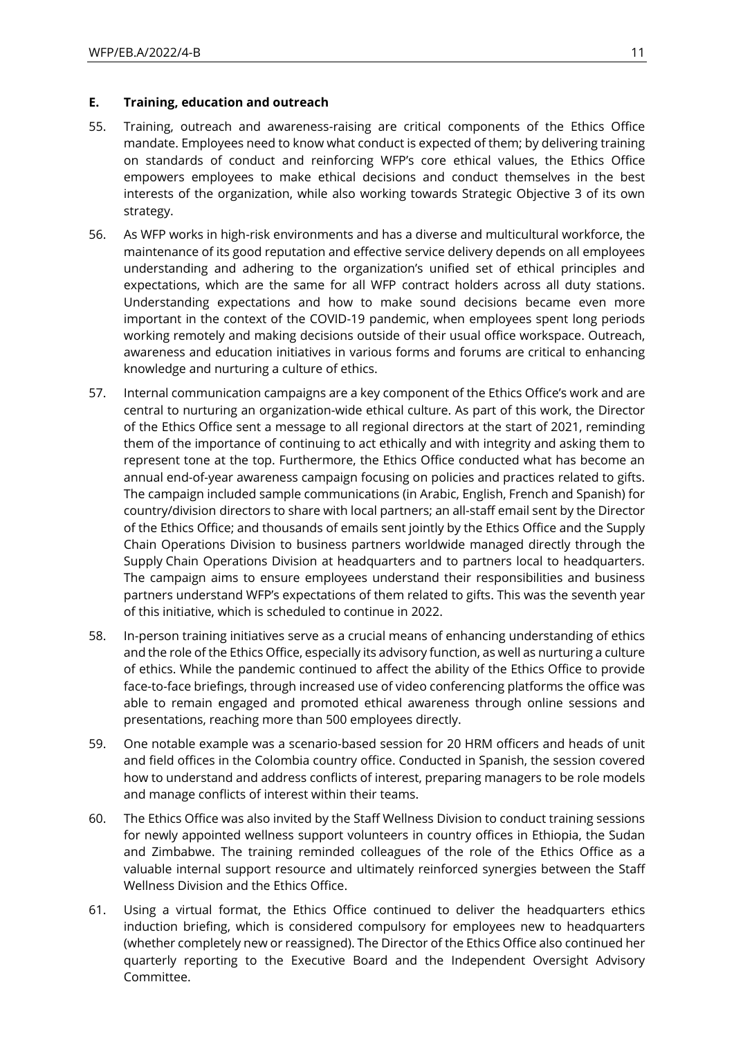#### **E. Training, education and outreach**

- 55. Training, outreach and awareness-raising are critical components of the Ethics Office mandate. Employees need to know what conduct is expected of them; by delivering training on standards of conduct and reinforcing WFP's core ethical values, the Ethics Office empowers employees to make ethical decisions and conduct themselves in the best interests of the organization, while also working towards Strategic Objective 3 of its own strategy.
- 56. As WFP works in high-risk environments and has a diverse and multicultural workforce, the maintenance of its good reputation and effective service delivery depends on all employees understanding and adhering to the organization's unified set of ethical principles and expectations, which are the same for all WFP contract holders across all duty stations. Understanding expectations and how to make sound decisions became even more important in the context of the COVID-19 pandemic, when employees spent long periods working remotely and making decisions outside of their usual office workspace. Outreach, awareness and education initiatives in various forms and forums are critical to enhancing knowledge and nurturing a culture of ethics.
- 57. Internal communication campaigns are a key component of the Ethics Office's work and are central to nurturing an organization-wide ethical culture. As part of this work, the Director of the Ethics Office sent a message to all regional directors at the start of 2021, reminding them of the importance of continuing to act ethically and with integrity and asking them to represent tone at the top. Furthermore, the Ethics Office conducted what has become an annual end-of-year awareness campaign focusing on policies and practices related to gifts. The campaign included sample communications (in Arabic, English, French and Spanish) for country/division directors to share with local partners; an all-staff email sent by the Director of the Ethics Office; and thousands of emails sent jointly by the Ethics Office and the Supply Chain Operations Division to business partners worldwide managed directly through the Supply Chain Operations Division at headquarters and to partners local to headquarters. The campaign aims to ensure employees understand their responsibilities and business partners understand WFP's expectations of them related to gifts. This was the seventh year of this initiative, which is scheduled to continue in 2022.
- 58. In-person training initiatives serve as a crucial means of enhancing understanding of ethics and the role of the Ethics Office, especially its advisory function, as well as nurturing a culture of ethics. While the pandemic continued to affect the ability of the Ethics Office to provide face-to-face briefings, through increased use of video conferencing platforms the office was able to remain engaged and promoted ethical awareness through online sessions and presentations, reaching more than 500 employees directly.
- 59. One notable example was a scenario-based session for 20 HRM officers and heads of unit and field offices in the Colombia country office. Conducted in Spanish, the session covered how to understand and address conflicts of interest, preparing managers to be role models and manage conflicts of interest within their teams.
- 60. The Ethics Office was also invited by the Staff Wellness Division to conduct training sessions for newly appointed wellness support volunteers in country offices in Ethiopia, the Sudan and Zimbabwe. The training reminded colleagues of the role of the Ethics Office as a valuable internal support resource and ultimately reinforced synergies between the Staff Wellness Division and the Ethics Office.
- 61. Using a virtual format, the Ethics Office continued to deliver the headquarters ethics induction briefing, which is considered compulsory for employees new to headquarters (whether completely new or reassigned). The Director of the Ethics Office also continued her quarterly reporting to the Executive Board and the Independent Oversight Advisory Committee.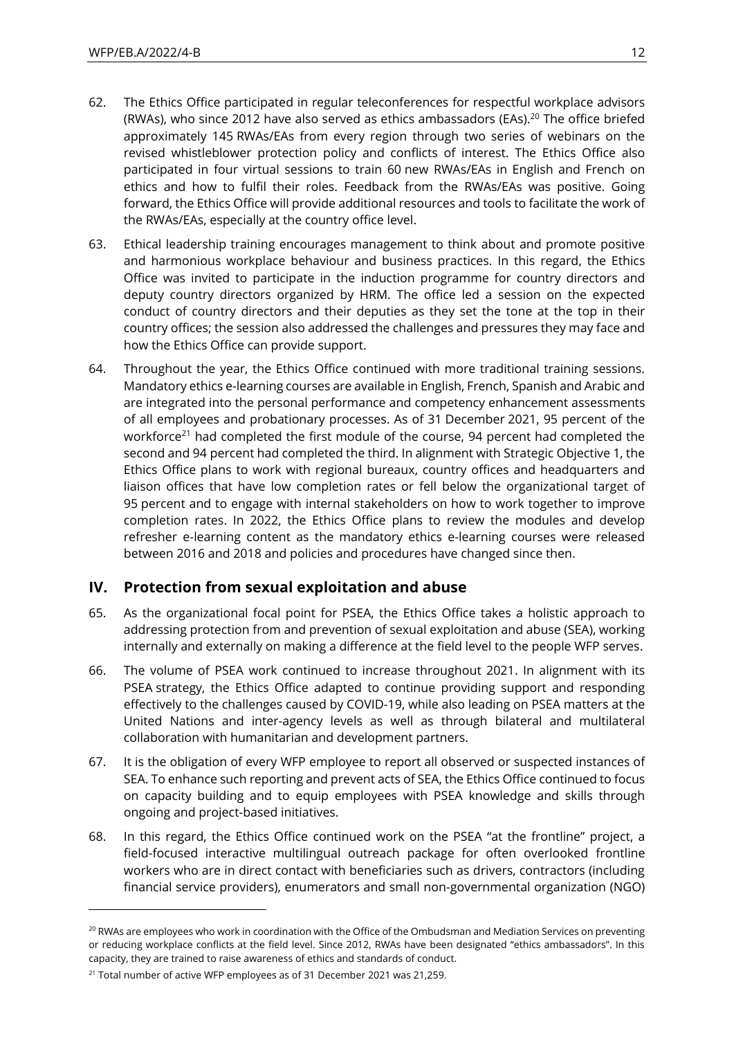- 62. The Ethics Office participated in regular teleconferences for respectful workplace advisors (RWAs), who since 2012 have also served as ethics ambassadors (EAs). <sup>20</sup> The office briefed approximately 145 RWAs/EAs from every region through two series of webinars on the revised whistleblower protection policy and conflicts of interest. The Ethics Office also participated in four virtual sessions to train 60 new RWAs/EAs in English and French on ethics and how to fulfil their roles. Feedback from the RWAs/EAs was positive. Going forward, the Ethics Office will provide additional resources and tools to facilitate the work of the RWAs/EAs, especially at the country office level.
- 63. Ethical leadership training encourages management to think about and promote positive and harmonious workplace behaviour and business practices. In this regard, the Ethics Office was invited to participate in the induction programme for country directors and deputy country directors organized by HRM. The office led a session on the expected conduct of country directors and their deputies as they set the tone at the top in their country offices; the session also addressed the challenges and pressures they may face and how the Ethics Office can provide support.
- 64. Throughout the year, the Ethics Office continued with more traditional training sessions. Mandatory ethics e-learning courses are available in English, French, Spanish and Arabic and are integrated into the personal performance and competency enhancement assessments of all employees and probationary processes. As of 31 December 2021, 95 percent of the workforce<sup>21</sup> had completed the first module of the course, 94 percent had completed the second and 94 percent had completed the third. In alignment with Strategic Objective 1, the Ethics Office plans to work with regional bureaux, country offices and headquarters and liaison offices that have low completion rates or fell below the organizational target of 95 percent and to engage with internal stakeholders on how to work together to improve completion rates. In 2022, the Ethics Office plans to review the modules and develop refresher e-learning content as the mandatory ethics e-learning courses were released between 2016 and 2018 and policies and procedures have changed since then.

## **IV. Protection from sexual exploitation and abuse**

- 65. As the organizational focal point for PSEA, the Ethics Office takes a holistic approach to addressing protection from and prevention of sexual exploitation and abuse (SEA), working internally and externally on making a difference at the field level to the people WFP serves.
- 66. The volume of PSEA work continued to increase throughout 2021. In alignment with its PSEA strategy, the Ethics Office adapted to continue providing support and responding effectively to the challenges caused by COVID-19, while also leading on PSEA matters at the United Nations and inter-agency levels as well as through bilateral and multilateral collaboration with humanitarian and development partners.
- 67. It is the obligation of every WFP employee to report all observed or suspected instances of SEA. To enhance such reporting and prevent acts of SEA, the Ethics Office continued to focus on capacity building and to equip employees with PSEA knowledge and skills through ongoing and project-based initiatives.
- 68. In this regard, the Ethics Office continued work on the PSEA "at the frontline" project, a field-focused interactive multilingual outreach package for often overlooked frontline workers who are in direct contact with beneficiaries such as drivers, contractors (including financial service providers), enumerators and small non-governmental organization (NGO)

<sup>&</sup>lt;sup>20</sup> RWAs are employees who work in coordination with the Office of the Ombudsman and Mediation Services on preventing or reducing workplace conflicts at the field level. Since 2012, RWAs have been designated "ethics ambassadors". In this capacity, they are trained to raise awareness of ethics and standards of conduct.

<sup>&</sup>lt;sup>21</sup> Total number of active WFP employees as of 31 December 2021 was 21,259.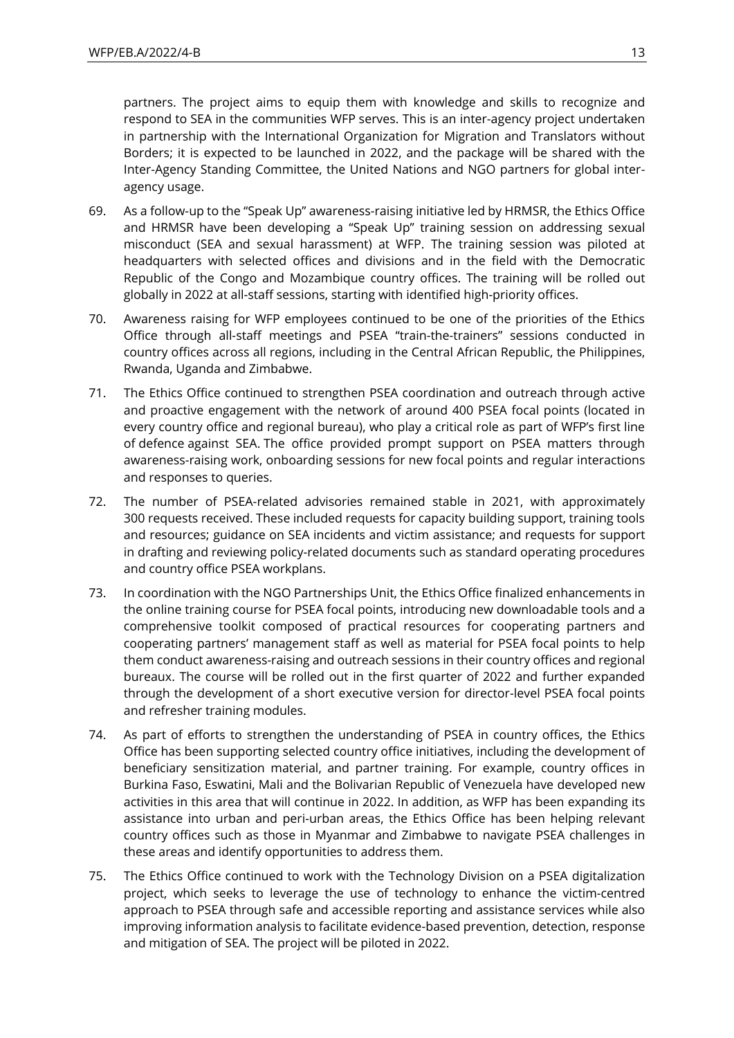partners. The project aims to equip them with knowledge and skills to recognize and respond to SEA in the communities WFP serves. This is an inter-agency project undertaken in partnership with the International Organization for Migration and Translators without Borders; it is expected to be launched in 2022, and the package will be shared with the Inter-Agency Standing Committee, the United Nations and NGO partners for global interagency usage.

- 69. As a follow-up to the "Speak Up" awareness-raising initiative led by HRMSR, the Ethics Office and HRMSR have been developing a "Speak Up" training session on addressing sexual misconduct (SEA and sexual harassment) at WFP. The training session was piloted at headquarters with selected offices and divisions and in the field with the Democratic Republic of the Congo and Mozambique country offices. The training will be rolled out globally in 2022 at all-staff sessions, starting with identified high-priority offices.
- 70. Awareness raising for WFP employees continued to be one of the priorities of the Ethics Office through all-staff meetings and PSEA "train-the-trainers" sessions conducted in country offices across all regions, including in the Central African Republic, the Philippines, Rwanda, Uganda and Zimbabwe.
- 71. The Ethics Office continued to strengthen PSEA coordination and outreach through active and proactive engagement with the network of around 400 PSEA focal points (located in every country office and regional bureau), who play a critical role as part of WFP's first line of defence against SEA. The office provided prompt support on PSEA matters through awareness-raising work, onboarding sessions for new focal points and regular interactions and responses to queries.
- 72. The number of PSEA-related advisories remained stable in 2021, with approximately 300 requests received. These included requests for capacity building support, training tools and resources; guidance on SEA incidents and victim assistance; and requests for support in drafting and reviewing policy-related documents such as standard operating procedures and country office PSEA workplans.
- 73. In coordination with the NGO Partnerships Unit, the Ethics Office finalized enhancements in the online training course for PSEA focal points, introducing new downloadable tools and a comprehensive toolkit composed of practical resources for cooperating partners and cooperating partners' management staff as well as material for PSEA focal points to help them conduct awareness-raising and outreach sessions in their country offices and regional bureaux. The course will be rolled out in the first quarter of 2022 and further expanded through the development of a short executive version for director-level PSEA focal points and refresher training modules.
- 74. As part of efforts to strengthen the understanding of PSEA in country offices, the Ethics Office has been supporting selected country office initiatives, including the development of beneficiary sensitization material, and partner training. For example, country offices in Burkina Faso, Eswatini, Mali and the Bolivarian Republic of Venezuela have developed new activities in this area that will continue in 2022. In addition, as WFP has been expanding its assistance into urban and peri-urban areas, the Ethics Office has been helping relevant country offices such as those in Myanmar and Zimbabwe to navigate PSEA challenges in these areas and identify opportunities to address them.
- 75. The Ethics Office continued to work with the Technology Division on a PSEA digitalization project, which seeks to leverage the use of technology to enhance the victim-centred approach to PSEA through safe and accessible reporting and assistance services while also improving information analysis to facilitate evidence-based prevention, detection, response and mitigation of SEA. The project will be piloted in 2022.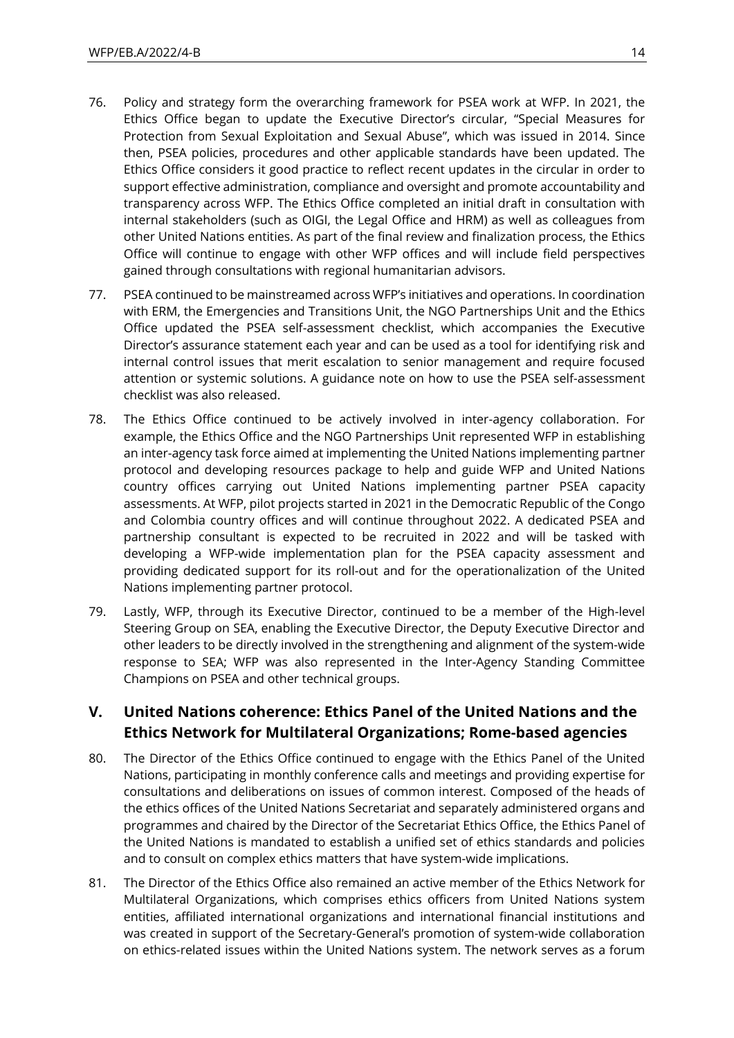- 76. Policy and strategy form the overarching framework for PSEA work at WFP. In 2021, the Ethics Office began to update the Executive Director's circular, "Special Measures for Protection from Sexual Exploitation and Sexual Abuse", which was issued in 2014. Since then, PSEA policies, procedures and other applicable standards have been updated. The Ethics Office considers it good practice to reflect recent updates in the circular in order to support effective administration, compliance and oversight and promote accountability and transparency across WFP. The Ethics Office completed an initial draft in consultation with internal stakeholders (such as OIGI, the Legal Office and HRM) as well as colleagues from other United Nations entities. As part of the final review and finalization process, the Ethics Office will continue to engage with other WFP offices and will include field perspectives gained through consultations with regional humanitarian advisors.
- 77. PSEA continued to be mainstreamed across WFP's initiatives and operations. In coordination with ERM, the Emergencies and Transitions Unit, the NGO Partnerships Unit and the Ethics Office updated the PSEA self-assessment checklist, which accompanies the Executive Director's assurance statement each year and can be used as a tool for identifying risk and internal control issues that merit escalation to senior management and require focused attention or systemic solutions. A guidance note on how to use the PSEA self-assessment checklist was also released.
- 78. The Ethics Office continued to be actively involved in inter-agency collaboration. For example, the Ethics Office and the NGO Partnerships Unit represented WFP in establishing an inter-agency task force aimed at implementing the United Nations implementing partner protocol and developing resources package to help and guide WFP and United Nations country offices carrying out United Nations implementing partner PSEA capacity assessments. At WFP, pilot projects started in 2021 in the Democratic Republic of the Congo and Colombia country offices and will continue throughout 2022. A dedicated PSEA and partnership consultant is expected to be recruited in 2022 and will be tasked with developing a WFP-wide implementation plan for the PSEA capacity assessment and providing dedicated support for its roll-out and for the operationalization of the United Nations implementing partner protocol.
- 79. Lastly, WFP, through its Executive Director, continued to be a member of the High-level Steering Group on SEA, enabling the Executive Director, the Deputy Executive Director and other leaders to be directly involved in the strengthening and alignment of the system-wide response to SEA; WFP was also represented in the Inter-Agency Standing Committee Champions on PSEA and other technical groups.

## **V. United Nations coherence: Ethics Panel of the United Nations and the Ethics Network for Multilateral Organizations; Rome-based agencies**

- 80. The Director of the Ethics Office continued to engage with the Ethics Panel of the United Nations, participating in monthly conference calls and meetings and providing expertise for consultations and deliberations on issues of common interest. Composed of the heads of the ethics offices of the United Nations Secretariat and separately administered organs and programmes and chaired by the Director of the Secretariat Ethics Office, the Ethics Panel of the United Nations is mandated to establish a unified set of ethics standards and policies and to consult on complex ethics matters that have system-wide implications.
- 81. The Director of the Ethics Office also remained an active member of the Ethics Network for Multilateral Organizations, which comprises ethics officers from United Nations system entities, affiliated international organizations and international financial institutions and was created in support of the Secretary-General's promotion of system-wide collaboration on ethics-related issues within the United Nations system. The network serves as a forum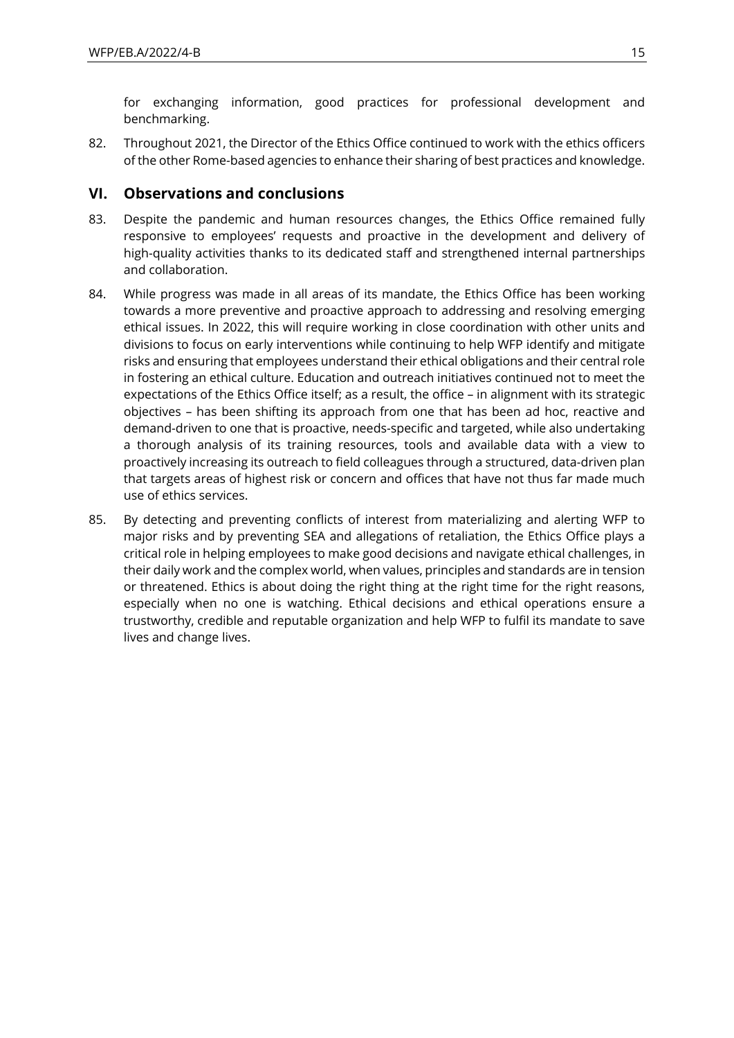for exchanging information, good practices for professional development and benchmarking.

82. Throughout 2021, the Director of the Ethics Office continued to work with the ethics officers of the other Rome-based agencies to enhance their sharing of best practices and knowledge.

### **VI. Observations and conclusions**

- 83. Despite the pandemic and human resources changes, the Ethics Office remained fully responsive to employees' requests and proactive in the development and delivery of high-quality activities thanks to its dedicated staff and strengthened internal partnerships and collaboration.
- 84. While progress was made in all areas of its mandate, the Ethics Office has been working towards a more preventive and proactive approach to addressing and resolving emerging ethical issues. In 2022, this will require working in close coordination with other units and divisions to focus on early interventions while continuing to help WFP identify and mitigate risks and ensuring that employees understand their ethical obligations and their central role in fostering an ethical culture. Education and outreach initiatives continued not to meet the expectations of the Ethics Office itself; as a result, the office – in alignment with its strategic objectives – has been shifting its approach from one that has been ad hoc, reactive and demand-driven to one that is proactive, needs-specific and targeted, while also undertaking a thorough analysis of its training resources, tools and available data with a view to proactively increasing its outreach to field colleagues through a structured, data-driven plan that targets areas of highest risk or concern and offices that have not thus far made much use of ethics services.
- 85. By detecting and preventing conflicts of interest from materializing and alerting WFP to major risks and by preventing SEA and allegations of retaliation, the Ethics Office plays a critical role in helping employees to make good decisions and navigate ethical challenges, in their daily work and the complex world, when values, principles and standards are in tension or threatened. Ethics is about doing the right thing at the right time for the right reasons, especially when no one is watching. Ethical decisions and ethical operations ensure a trustworthy, credible and reputable organization and help WFP to fulfil its mandate to save lives and change lives.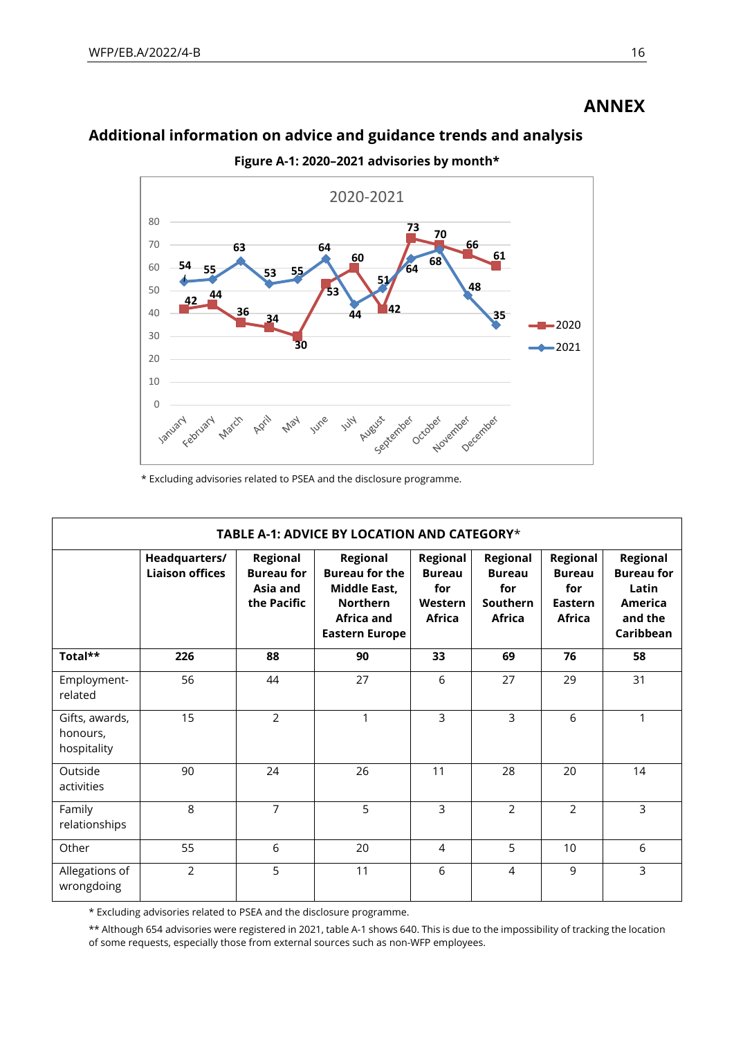# **ANNEX**

# **Additional information on advice and guidance trends and analysis**



**Figure A-1: 2020–2021 advisories by month\***

\* Excluding advisories related to PSEA and the disclosure programme.

| TABLE A-1: ADVICE BY LOCATION AND CATEGORY* |                                         |                                                          |                                                                                                             |                                                              |                                                               |                                                                     |                                                                                  |  |
|---------------------------------------------|-----------------------------------------|----------------------------------------------------------|-------------------------------------------------------------------------------------------------------------|--------------------------------------------------------------|---------------------------------------------------------------|---------------------------------------------------------------------|----------------------------------------------------------------------------------|--|
|                                             | Headquarters/<br><b>Liaison offices</b> | Regional<br><b>Bureau for</b><br>Asia and<br>the Pacific | Regional<br><b>Bureau for the</b><br>Middle East,<br><b>Northern</b><br>Africa and<br><b>Eastern Europe</b> | Regional<br><b>Bureau</b><br>for<br>Western<br><b>Africa</b> | Regional<br><b>Bureau</b><br>for<br>Southern<br><b>Africa</b> | Regional<br><b>Bureau</b><br>for<br><b>Eastern</b><br><b>Africa</b> | <b>Regional</b><br><b>Bureau for</b><br>Latin<br>America<br>and the<br>Caribbean |  |
| Total**                                     | 226                                     | 88                                                       | 90                                                                                                          | 33                                                           | 69                                                            | 76                                                                  | 58                                                                               |  |
| Employment-<br>related                      | 56                                      | 44                                                       | 27                                                                                                          | 6                                                            | 27                                                            | 29                                                                  | 31                                                                               |  |
| Gifts, awards,<br>honours,<br>hospitality   | 15                                      | $\overline{2}$                                           | 1                                                                                                           | 3                                                            | 3                                                             | 6                                                                   | 1                                                                                |  |
| Outside<br>activities                       | 90                                      | 24                                                       | 26                                                                                                          | 11                                                           | 28                                                            | 20                                                                  | 14                                                                               |  |
| Family<br>relationships                     | 8                                       | $\overline{7}$                                           | 5                                                                                                           | 3                                                            | $\overline{2}$                                                | $\overline{2}$                                                      | 3                                                                                |  |
| Other                                       | 55                                      | 6                                                        | 20                                                                                                          | 4                                                            | 5                                                             | 10                                                                  | 6                                                                                |  |
| Allegations of<br>wrongdoing                | $\overline{2}$                          | 5                                                        | 11                                                                                                          | 6                                                            | 4                                                             | 9                                                                   | 3                                                                                |  |

\* Excluding advisories related to PSEA and the disclosure programme.

\*\* Although 654 advisories were registered in 2021, table A-1 shows 640. This is due to the impossibility of tracking the location of some requests, especially those from external sources such as non-WFP employees.